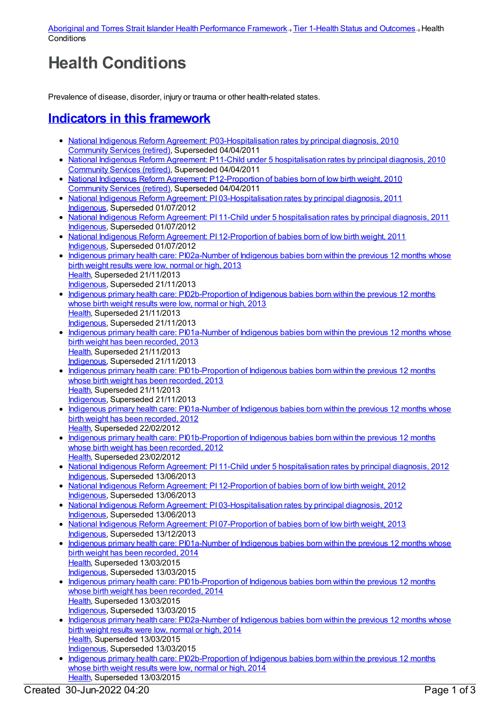## **Health Conditions**

Prevalence of disease, disorder, injury or trauma or other health-related states.

## **Indicators in this [framework](file:///content/410647)**

- National Indigenous Reform Agreement: [P03-Hospitalisation](https://meteor.aihw.gov.au/content/396194) rates by principal diagnosis, 2010 [Community](https://meteor.aihw.gov.au/RegistrationAuthority/1) Services (retired), Superseded 04/04/2011
- National Indigenous Reform Agreement: P11-Child under 5 [hospitalisation](https://meteor.aihw.gov.au/content/396470) rates by principal diagnosis, 2010 [Community](https://meteor.aihw.gov.au/RegistrationAuthority/1) Services (retired), Superseded 04/04/2011
- National Indigenous Reform Agreement: [P12-Proportion](https://meteor.aihw.gov.au/content/396560) of babies born of low birth weight, 2010 [Community](https://meteor.aihw.gov.au/RegistrationAuthority/1) Services (retired), Superseded 04/04/2011
- National Indigenous Reform Agreement: PI [03-Hospitalisation](https://meteor.aihw.gov.au/content/425741) rates by principal diagnosis, 2011 [Indigenous](https://meteor.aihw.gov.au/RegistrationAuthority/6), Superseded 01/07/2012
- National Indigenous Reform Agreement: PI 11-Child under 5 [hospitalisation](https://meteor.aihw.gov.au/content/425764) rates by principal diagnosis, 2011 [Indigenous](https://meteor.aihw.gov.au/RegistrationAuthority/6), Superseded 01/07/2012
- National Indigenous Reform Agreement: PI [12-Proportion](https://meteor.aihw.gov.au/content/425771) of babies born of low birth weight, 2011 [Indigenous](https://meteor.aihw.gov.au/RegistrationAuthority/6), Superseded 01/07/2012
- Indigenous primary health care: [PI02a-Number](https://meteor.aihw.gov.au/content/450659) of Indigenous babies born within the previous 12 months whose birth weight results were low, normal or high, 2013 [Health](https://meteor.aihw.gov.au/RegistrationAuthority/12), Superseded 21/11/2013
- [Indigenous](https://meteor.aihw.gov.au/RegistrationAuthority/6), Superseded 21/11/2013
- Indigenous primary health care: [PI02b-Proportion](https://meteor.aihw.gov.au/content/450666) of Indigenous babies born within the previous 12 months whose birth weight results were low, normal or high, 2013 [Health](https://meteor.aihw.gov.au/RegistrationAuthority/12), Superseded 21/11/2013 [Indigenous](https://meteor.aihw.gov.au/RegistrationAuthority/6), Superseded 21/11/2013
- Indigenous primary health care: [PI01a-Number](https://meteor.aihw.gov.au/content/468087) of Indigenous babies born within the previous 12 months whose birth weight has been recorded, 2013 [Health](https://meteor.aihw.gov.au/RegistrationAuthority/12), Superseded 21/11/2013 [Indigenous](https://meteor.aihw.gov.au/RegistrationAuthority/6), Superseded 21/11/2013
- Indigenous primary health care: [PI01b-Proportion](https://meteor.aihw.gov.au/content/468089) of Indigenous babies born within the previous 12 months whose birth weight has been recorded, 2013 [Health](https://meteor.aihw.gov.au/RegistrationAuthority/12), Superseded 21/11/2013 [Indigenous](https://meteor.aihw.gov.au/RegistrationAuthority/6), Superseded 21/11/2013
- Indigenous primary health care: [PI01a-Number](https://meteor.aihw.gov.au/content/431539) of Indigenous babies born within the previous 12 months whose birth weight has been recorded, 2012 [Health](https://meteor.aihw.gov.au/RegistrationAuthority/12), Superseded 22/02/2012
- Indigenous primary health care: [PI01b-Proportion](https://meteor.aihw.gov.au/content/430640) of Indigenous babies born within the previous 12 months whose birth weight has been recorded, 2012 [Health](https://meteor.aihw.gov.au/RegistrationAuthority/12), Superseded 23/02/2012
- National Indigenous Reform Agreement: PI 11-Child under 5 [hospitalisation](https://meteor.aihw.gov.au/content/438622) rates by principal diagnosis, 2012 [Indigenous](https://meteor.aihw.gov.au/RegistrationAuthority/6), Superseded 13/06/2013
- National Indigenous Reform Agreement: PI [12-Proportion](https://meteor.aihw.gov.au/content/438630) of babies born of low birth weight, 2012 [Indigenous](https://meteor.aihw.gov.au/RegistrationAuthority/6), Superseded 13/06/2013
- National Indigenous Reform Agreement: PI [03-Hospitalisation](https://meteor.aihw.gov.au/content/438499) rates by principal diagnosis, 2012 [Indigenous](https://meteor.aihw.gov.au/RegistrationAuthority/6), Superseded 13/06/2013
- National Indigenous Reform Agreement: PI [07-Proportion](https://meteor.aihw.gov.au/content/484305) of babies born of low birth weight, 2013 [Indigenous](https://meteor.aihw.gov.au/RegistrationAuthority/6), Superseded 13/12/2013
- Indigenous primary health care: [PI01a-Number](https://meteor.aihw.gov.au/content/504688) of Indigenous babies born within the previous 12 months whose birth weight has been recorded, 2014 [Health](https://meteor.aihw.gov.au/RegistrationAuthority/12), Superseded 13/03/2015 [Indigenous](https://meteor.aihw.gov.au/RegistrationAuthority/6), Superseded 13/03/2015
- Indigenous primary health care: [PI01b-Proportion](https://meteor.aihw.gov.au/content/504690) of Indigenous babies born within the previous 12 months whose birth weight has been recorded, 2014 [Health](https://meteor.aihw.gov.au/RegistrationAuthority/12), Superseded 13/03/2015 [Indigenous](https://meteor.aihw.gov.au/RegistrationAuthority/6), Superseded 13/03/2015
- Indigenous primary health care: [PI02a-Number](https://meteor.aihw.gov.au/content/504692) of Indigenous babies born within the previous 12 months whose birth weight results were low, normal or high, 2014 [Health](https://meteor.aihw.gov.au/RegistrationAuthority/12), Superseded 13/03/2015 [Indigenous](https://meteor.aihw.gov.au/RegistrationAuthority/6), Superseded 13/03/2015
- Indigenous primary health care: [PI02b-Proportion](https://meteor.aihw.gov.au/content/504694) of Indigenous babies born within the previous 12 months whose birth weight results were low, normal or high, 2014 [Health](https://meteor.aihw.gov.au/RegistrationAuthority/12), Superseded 13/03/2015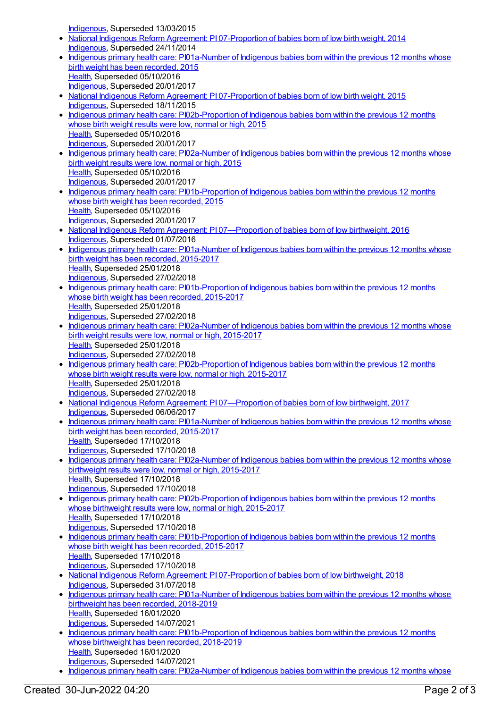[Indigenous](https://meteor.aihw.gov.au/RegistrationAuthority/6), Superseded 13/03/2015

- National Indigenous Reform Agreement: PI [07-Proportion](https://meteor.aihw.gov.au/content/525840) of babies born of low birth weight, 2014 [Indigenous](https://meteor.aihw.gov.au/RegistrationAuthority/6), Superseded 24/11/2014
- Indigenous primary health care: [PI01a-Number](https://meteor.aihw.gov.au/content/587703) of Indigenous babies born within the previous 12 months whose birth weight has been recorded, 2015 [Health](https://meteor.aihw.gov.au/RegistrationAuthority/12), Superseded 05/10/2016 [Indigenous](https://meteor.aihw.gov.au/RegistrationAuthority/6), Superseded 20/01/2017
- National Indigenous Reform Agreement: PI [07-Proportion](https://meteor.aihw.gov.au/content/579076) of babies born of low birth weight, 2015 [Indigenous](https://meteor.aihw.gov.au/RegistrationAuthority/6), Superseded 18/11/2015
- Indigenous primary health care: [PI02b-Proportion](https://meteor.aihw.gov.au/content/588977) of Indigenous babies born within the previous 12 months whose birth weight results were low, normal or high, 2015 [Health](https://meteor.aihw.gov.au/RegistrationAuthority/12), Superseded 05/10/2016 [Indigenous](https://meteor.aihw.gov.au/RegistrationAuthority/6), Superseded 20/01/2017
- Indigenous primary health care: [PI02a-Number](https://meteor.aihw.gov.au/content/588973) of Indigenous babies born within the previous 12 months whose birth weight results were low, normal or high, 2015 [Health](https://meteor.aihw.gov.au/RegistrationAuthority/12), Superseded 05/10/2016 [Indigenous](https://meteor.aihw.gov.au/RegistrationAuthority/6), Superseded 20/01/2017
- Indigenous primary health care: [PI01b-Proportion](https://meteor.aihw.gov.au/content/588971) of Indigenous babies born within the previous 12 months whose birth weight has been recorded, 2015 [Health](https://meteor.aihw.gov.au/RegistrationAuthority/12), Superseded 05/10/2016 [Indigenous](https://meteor.aihw.gov.au/RegistrationAuthority/6), Superseded 20/01/2017
- National Indigenous Reform Agreement: PI 07-Proportion of babies born of low birthweight, 2016 [Indigenous](https://meteor.aihw.gov.au/RegistrationAuthority/6), Superseded 01/07/2016
- Indigenous primary health care: [PI01a-Number](https://meteor.aihw.gov.au/content/663900) of Indigenous babies born within the previous 12 months whose birth weight has been recorded, 2015-2017 [Health](https://meteor.aihw.gov.au/RegistrationAuthority/12), Superseded 25/01/2018 [Indigenous](https://meteor.aihw.gov.au/RegistrationAuthority/6), Superseded 27/02/2018
- Indigenous primary health care: [PI01b-Proportion](https://meteor.aihw.gov.au/content/663903) of Indigenous babies born within the previous 12 months whose birth weight has been recorded, 2015-2017 [Health](https://meteor.aihw.gov.au/RegistrationAuthority/12), Superseded 25/01/2018 [Indigenous](https://meteor.aihw.gov.au/RegistrationAuthority/6), Superseded 27/02/2018
- Indigenous primary health care: [PI02a-Number](https://meteor.aihw.gov.au/content/663905) of Indigenous babies born within the previous 12 months whose birth weight results were low, normal or high, 2015-2017 [Health](https://meteor.aihw.gov.au/RegistrationAuthority/12), Superseded 25/01/2018 [Indigenous](https://meteor.aihw.gov.au/RegistrationAuthority/6), Superseded 27/02/2018
- Indigenous primary health care: [PI02b-Proportion](https://meteor.aihw.gov.au/content/663907) of Indigenous babies born within the previous 12 months whose birth weight results were low, normal or high, 2015-2017 [Health](https://meteor.aihw.gov.au/RegistrationAuthority/12), Superseded 25/01/2018 [Indigenous](https://meteor.aihw.gov.au/RegistrationAuthority/6), Superseded 27/02/2018
- National Indigenous Reform Agreement: PI 07-Proportion of babies born of low birthweight, 2017 [Indigenous](https://meteor.aihw.gov.au/RegistrationAuthority/6), Superseded 06/06/2017
- Indigenous primary health care: [PI01a-Number](https://meteor.aihw.gov.au/content/686339) of Indigenous babies born within the previous 12 months whose birth weight has been recorded, 2015-2017 [Health](https://meteor.aihw.gov.au/RegistrationAuthority/12), Superseded 17/10/2018 [Indigenous](https://meteor.aihw.gov.au/RegistrationAuthority/6), Superseded 17/10/2018 • Indigenous primary health care: [PI02a-Number](https://meteor.aihw.gov.au/content/686346) of Indigenous babies born within the previous 12 months whose
- birthweight results were low, normal or high, 2015-2017 [Health](https://meteor.aihw.gov.au/RegistrationAuthority/12), Superseded 17/10/2018 [Indigenous](https://meteor.aihw.gov.au/RegistrationAuthority/6), Superseded 17/10/2018
- Indigenous primary health care: [PI02b-Proportion](https://meteor.aihw.gov.au/content/686348) of Indigenous babies born within the previous 12 months whose birthweight results were low, normal or high, 2015-2017 [Health](https://meteor.aihw.gov.au/RegistrationAuthority/12), Superseded 17/10/2018 [Indigenous](https://meteor.aihw.gov.au/RegistrationAuthority/6), Superseded 17/10/2018
- Indigenous primary health care: [PI01b-Proportion](https://meteor.aihw.gov.au/content/686344) of Indigenous babies born within the previous 12 months whose birth weight has been recorded, 2015-2017 [Health](https://meteor.aihw.gov.au/RegistrationAuthority/12), Superseded 17/10/2018 [Indigenous](https://meteor.aihw.gov.au/RegistrationAuthority/6), Superseded 17/10/2018
- National Indigenous Reform Agreement: PI [07-Proportion](https://meteor.aihw.gov.au/content/668674) of babies born of low birthweight, 2018 [Indigenous](https://meteor.aihw.gov.au/RegistrationAuthority/6), Superseded 31/07/2018
- Indigenous primary health care: [PI01a-Number](https://meteor.aihw.gov.au/content/687916) of Indigenous babies born within the previous 12 months whose birthweight has been recorded, 2018-2019 [Health](https://meteor.aihw.gov.au/RegistrationAuthority/12), Superseded 16/01/2020 [Indigenous](https://meteor.aihw.gov.au/RegistrationAuthority/6), Superseded 14/07/2021
- Indigenous primary health care: [PI01b-Proportion](https://meteor.aihw.gov.au/content/687918) of Indigenous babies born within the previous 12 months whose birthweight has been recorded, 2018-2019 [Health](https://meteor.aihw.gov.au/RegistrationAuthority/12), Superseded 16/01/2020 [Indigenous](https://meteor.aihw.gov.au/RegistrationAuthority/6), Superseded 14/07/2021
- Indigenous primary health care: [PI02a-Number](https://meteor.aihw.gov.au/content/687921) of Indigenous babies born within the previous 12 months whose